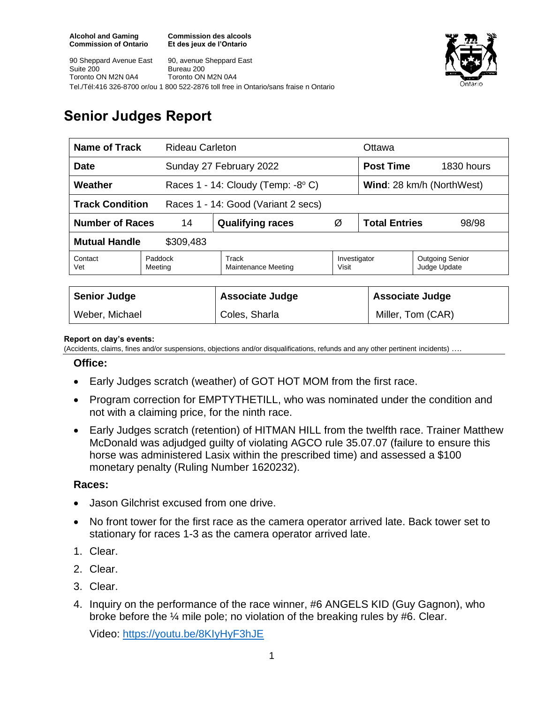**Commission des alcools Et des jeux de l'Ontario**





# **Senior Judges Report**

| <b>Name of Track</b><br><b>Rideau Carleton</b>                |                    |                                             |                       | Ottawa                        |                                        |  |
|---------------------------------------------------------------|--------------------|---------------------------------------------|-----------------------|-------------------------------|----------------------------------------|--|
| <b>Date</b>                                                   |                    | Sunday 27 February 2022                     |                       | <b>Post Time</b>              | 1830 hours                             |  |
| Weather                                                       |                    | Races 1 - 14: Cloudy (Temp: $-8^{\circ}$ C) |                       | Wind: 28 km/h (NorthWest)     |                                        |  |
| <b>Track Condition</b><br>Races 1 - 14: Good (Variant 2 secs) |                    |                                             |                       |                               |                                        |  |
| <b>Number of Races</b><br>14                                  |                    | <b>Qualifying races</b>                     | Ø                     | <b>Total Entries</b><br>98/98 |                                        |  |
| <b>Mutual Handle</b><br>\$309,483                             |                    |                                             |                       |                               |                                        |  |
| Contact<br>Vet                                                | Paddock<br>Meeting | Track<br>Maintenance Meeting                | Investigator<br>Visit |                               | <b>Outgoing Senior</b><br>Judge Update |  |
|                                                               |                    |                                             |                       |                               |                                        |  |
| <b>Senior Judge</b>                                           |                    | <b>Associate Judge</b>                      |                       |                               | <b>Associate Judge</b>                 |  |
| Weber, Michael                                                |                    | Coles, Sharla                               |                       |                               | Miller, Tom (CAR)                      |  |

### **Report on day's events:**

(Accidents, claims, fines and/or suspensions, objections and/or disqualifications, refunds and any other pertinent incidents) ….

### **Office:**

- Early Judges scratch (weather) of GOT HOT MOM from the first race.
- Program correction for EMPTYTHETILL, who was nominated under the condition and not with a claiming price, for the ninth race.
- Early Judges scratch (retention) of HITMAN HILL from the twelfth race. Trainer Matthew McDonald was adjudged guilty of violating AGCO rule 35.07.07 (failure to ensure this horse was administered Lasix within the prescribed time) and assessed a \$100 monetary penalty (Ruling Number 1620232).

### **Races:**

- Jason Gilchrist excused from one drive.
- No front tower for the first race as the camera operator arrived late. Back tower set to stationary for races 1-3 as the camera operator arrived late.
- 1. Clear.
- 2. Clear.
- 3. Clear.
- 4. Inquiry on the performance of the race winner, #6 ANGELS KID (Guy Gagnon), who broke before the ¼ mile pole; no violation of the breaking rules by #6. Clear.

Video:<https://youtu.be/8KIyHyF3hJE>